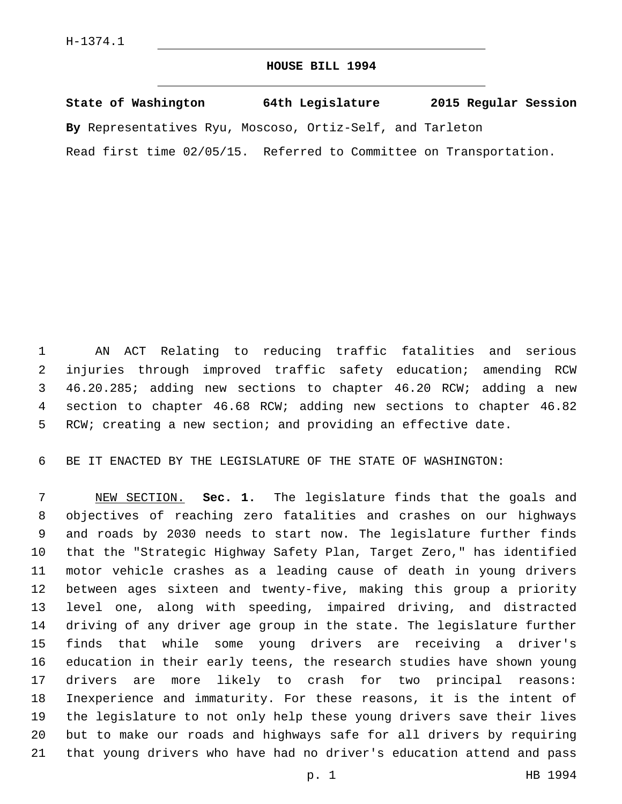## **HOUSE BILL 1994**

**State of Washington 64th Legislature 2015 Regular Session By** Representatives Ryu, Moscoso, Ortiz-Self, and Tarleton Read first time 02/05/15. Referred to Committee on Transportation.

 AN ACT Relating to reducing traffic fatalities and serious injuries through improved traffic safety education; amending RCW 46.20.285; adding new sections to chapter 46.20 RCW; adding a new section to chapter 46.68 RCW; adding new sections to chapter 46.82 RCW; creating a new section; and providing an effective date.

BE IT ENACTED BY THE LEGISLATURE OF THE STATE OF WASHINGTON:

 NEW SECTION. **Sec. 1.** The legislature finds that the goals and objectives of reaching zero fatalities and crashes on our highways and roads by 2030 needs to start now. The legislature further finds that the "Strategic Highway Safety Plan, Target Zero," has identified motor vehicle crashes as a leading cause of death in young drivers between ages sixteen and twenty-five, making this group a priority level one, along with speeding, impaired driving, and distracted driving of any driver age group in the state. The legislature further finds that while some young drivers are receiving a driver's education in their early teens, the research studies have shown young drivers are more likely to crash for two principal reasons: Inexperience and immaturity. For these reasons, it is the intent of the legislature to not only help these young drivers save their lives but to make our roads and highways safe for all drivers by requiring that young drivers who have had no driver's education attend and pass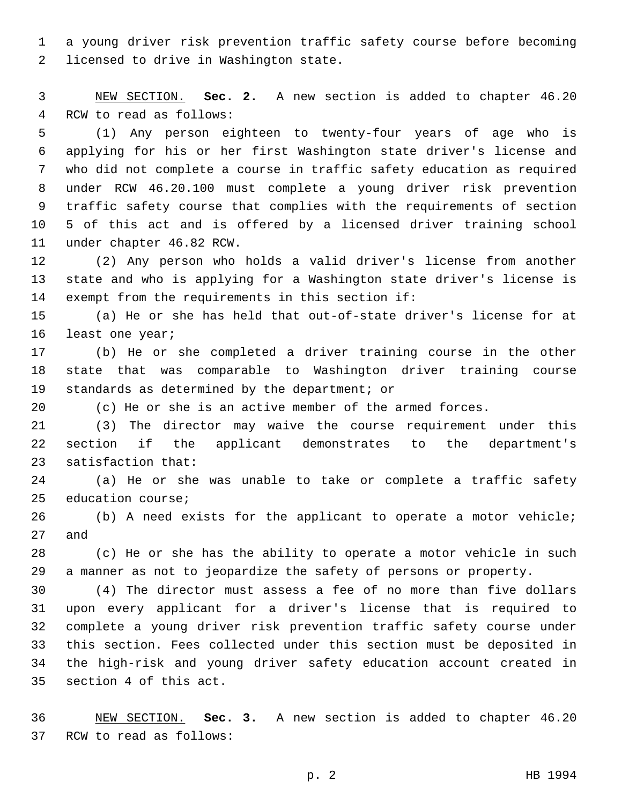a young driver risk prevention traffic safety course before becoming 2 licensed to drive in Washington state.

 NEW SECTION. **Sec. 2.** A new section is added to chapter 46.20 4 RCW to read as follows:

 (1) Any person eighteen to twenty-four years of age who is applying for his or her first Washington state driver's license and who did not complete a course in traffic safety education as required under RCW 46.20.100 must complete a young driver risk prevention traffic safety course that complies with the requirements of section 5 of this act and is offered by a licensed driver training school 11 under chapter 46.82 RCW.

 (2) Any person who holds a valid driver's license from another state and who is applying for a Washington state driver's license is 14 exempt from the requirements in this section if:

 (a) He or she has held that out-of-state driver's license for at 16 least one year;

 (b) He or she completed a driver training course in the other state that was comparable to Washington driver training course 19 standards as determined by the department; or

(c) He or she is an active member of the armed forces.

 (3) The director may waive the course requirement under this section if the applicant demonstrates to the department's 23 satisfaction that:

 (a) He or she was unable to take or complete a traffic safety 25 education course;

 (b) A need exists for the applicant to operate a motor vehicle; 27 and

 (c) He or she has the ability to operate a motor vehicle in such a manner as not to jeopardize the safety of persons or property.

 (4) The director must assess a fee of no more than five dollars upon every applicant for a driver's license that is required to complete a young driver risk prevention traffic safety course under this section. Fees collected under this section must be deposited in the high-risk and young driver safety education account created in 35 section 4 of this act.

 NEW SECTION. **Sec. 3.** A new section is added to chapter 46.20 37 RCW to read as follows: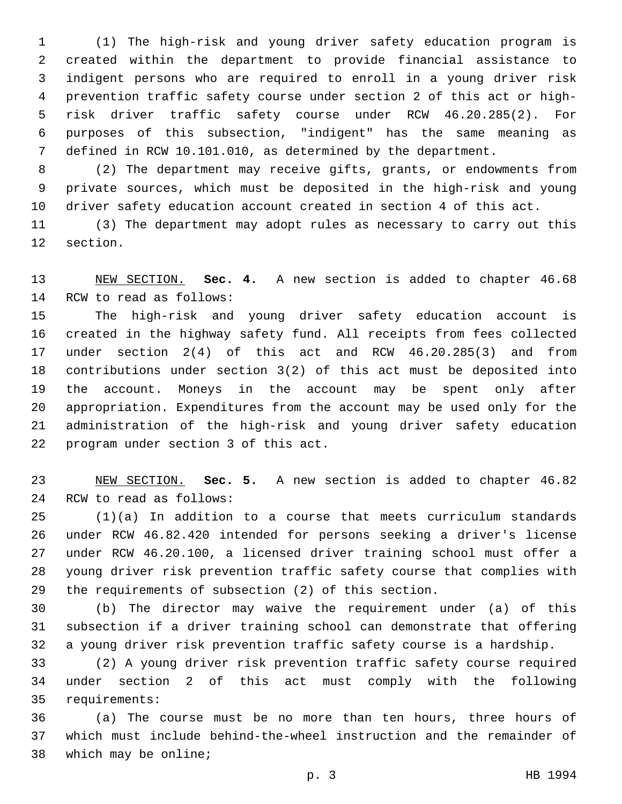(1) The high-risk and young driver safety education program is created within the department to provide financial assistance to indigent persons who are required to enroll in a young driver risk prevention traffic safety course under section 2 of this act or high- risk driver traffic safety course under RCW 46.20.285(2). For purposes of this subsection, "indigent" has the same meaning as defined in RCW 10.101.010, as determined by the department.

 (2) The department may receive gifts, grants, or endowments from private sources, which must be deposited in the high-risk and young driver safety education account created in section 4 of this act.

 (3) The department may adopt rules as necessary to carry out this 12 section.

 NEW SECTION. **Sec. 4.** A new section is added to chapter 46.68 14 RCW to read as follows:

 The high-risk and young driver safety education account is created in the highway safety fund. All receipts from fees collected under section 2(4) of this act and RCW 46.20.285(3) and from contributions under section 3(2) of this act must be deposited into the account. Moneys in the account may be spent only after appropriation. Expenditures from the account may be used only for the administration of the high-risk and young driver safety education 22 program under section 3 of this act.

 NEW SECTION. **Sec. 5.** A new section is added to chapter 46.82 24 RCW to read as follows:

 (1)(a) In addition to a course that meets curriculum standards under RCW 46.82.420 intended for persons seeking a driver's license under RCW 46.20.100, a licensed driver training school must offer a young driver risk prevention traffic safety course that complies with the requirements of subsection (2) of this section.

 (b) The director may waive the requirement under (a) of this subsection if a driver training school can demonstrate that offering a young driver risk prevention traffic safety course is a hardship.

 (2) A young driver risk prevention traffic safety course required under section 2 of this act must comply with the following 35 requirements:

 (a) The course must be no more than ten hours, three hours of which must include behind-the-wheel instruction and the remainder of 38 which may be online;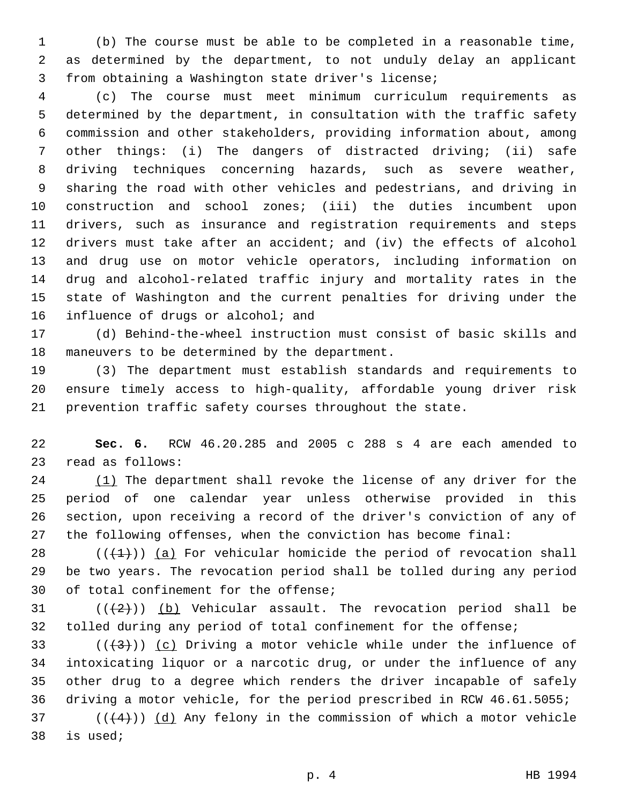(b) The course must be able to be completed in a reasonable time, as determined by the department, to not unduly delay an applicant from obtaining a Washington state driver's license;

 (c) The course must meet minimum curriculum requirements as determined by the department, in consultation with the traffic safety commission and other stakeholders, providing information about, among other things: (i) The dangers of distracted driving; (ii) safe driving techniques concerning hazards, such as severe weather, sharing the road with other vehicles and pedestrians, and driving in construction and school zones; (iii) the duties incumbent upon drivers, such as insurance and registration requirements and steps drivers must take after an accident; and (iv) the effects of alcohol and drug use on motor vehicle operators, including information on drug and alcohol-related traffic injury and mortality rates in the state of Washington and the current penalties for driving under the 16 influence of drugs or alcohol; and

 (d) Behind-the-wheel instruction must consist of basic skills and 18 maneuvers to be determined by the department.

 (3) The department must establish standards and requirements to ensure timely access to high-quality, affordable young driver risk prevention traffic safety courses throughout the state.

 **Sec. 6.** RCW 46.20.285 and 2005 c 288 s 4 are each amended to 23 read as follows:

24 (1) The department shall revoke the license of any driver for the period of one calendar year unless otherwise provided in this section, upon receiving a record of the driver's conviction of any of the following offenses, when the conviction has become final:

28  $((+1))$  (a) For vehicular homicide the period of revocation shall be two years. The revocation period shall be tolled during any period 30 of total confinement for the offense;

31  $((+2+))$  (b) Vehicular assault. The revocation period shall be tolled during any period of total confinement for the offense;

33 ( $(\frac{43}{})$ ) (c) Driving a motor vehicle while under the influence of intoxicating liquor or a narcotic drug, or under the influence of any other drug to a degree which renders the driver incapable of safely driving a motor vehicle, for the period prescribed in RCW 46.61.5055;

 (( $(4)$ )) (d) Any felony in the commission of which a motor vehicle 38 is used;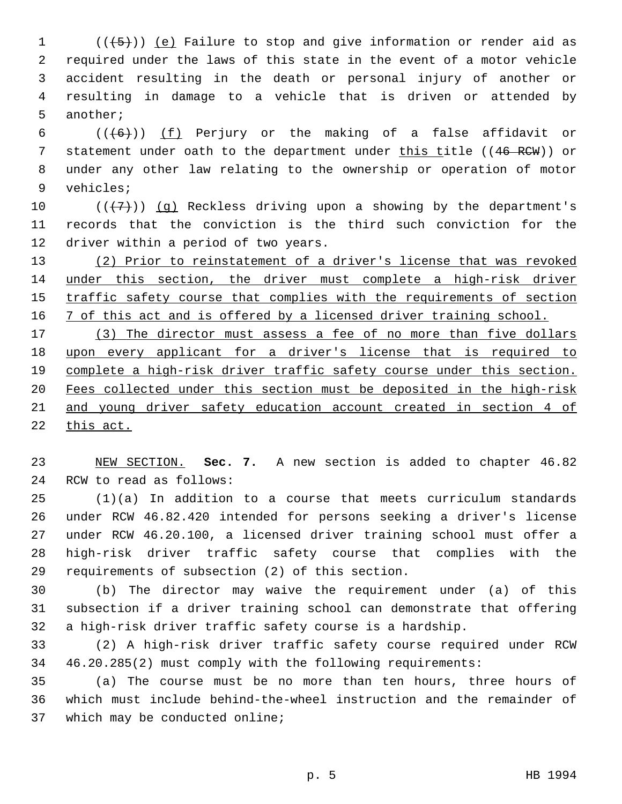(( $\overline{+5}$ )) (e) Failure to stop and give information or render aid as required under the laws of this state in the event of a motor vehicle accident resulting in the death or personal injury of another or resulting in damage to a vehicle that is driven or attended by 5 another;

6  $((+6))$   $(f)$  Perjury or the making of a false affidavit or 7 statement under oath to the department under this title ((46 RCW)) or under any other law relating to the ownership or operation of motor 9 vehicles;

10  $((+7+))$  (g) Reckless driving upon a showing by the department's records that the conviction is the third such conviction for the 12 driver within a period of two years.

 (2) Prior to reinstatement of a driver's license that was revoked under this section, the driver must complete a high-risk driver traffic safety course that complies with the requirements of section 16 7 of this act and is offered by a licensed driver training school.

 (3) The director must assess a fee of no more than five dollars upon every applicant for a driver's license that is required to complete a high-risk driver traffic safety course under this section. Fees collected under this section must be deposited in the high-risk and young driver safety education account created in section 4 of this act.

 NEW SECTION. **Sec. 7.** A new section is added to chapter 46.82 24 RCW to read as follows:

 (1)(a) In addition to a course that meets curriculum standards under RCW 46.82.420 intended for persons seeking a driver's license under RCW 46.20.100, a licensed driver training school must offer a high-risk driver traffic safety course that complies with the 29 requirements of subsection (2) of this section.

 (b) The director may waive the requirement under (a) of this subsection if a driver training school can demonstrate that offering a high-risk driver traffic safety course is a hardship.

 (2) A high-risk driver traffic safety course required under RCW 46.20.285(2) must comply with the following requirements:

 (a) The course must be no more than ten hours, three hours of which must include behind-the-wheel instruction and the remainder of 37 which may be conducted online;